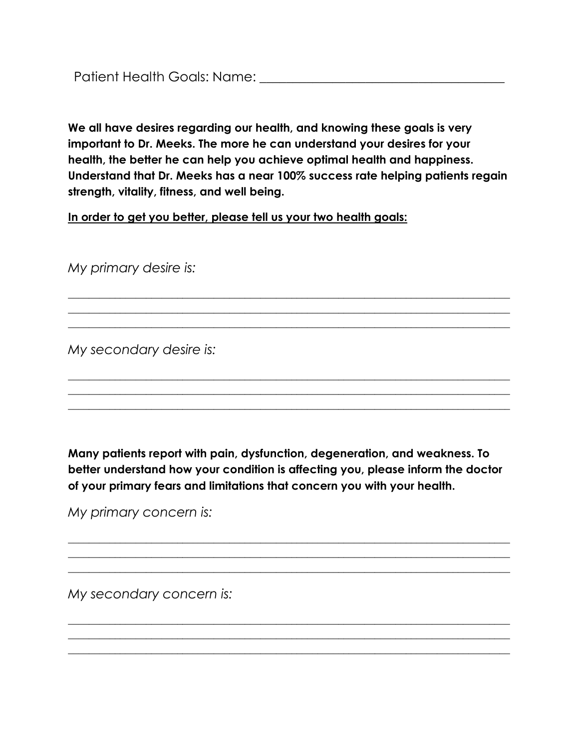**We all have desires regarding our health, and knowing these goals is very important to Dr. Meeks. The more he can understand your desires for your health, the better he can help you achieve optimal health and happiness. Understand that Dr. Meeks has a near 100% success rate helping patients regain strength, vitality, fitness, and well being.**

\_\_\_\_\_\_\_\_\_\_\_\_\_\_\_\_\_\_\_\_\_\_\_\_\_\_\_\_\_\_\_\_\_\_\_\_\_\_\_\_\_\_\_\_\_\_\_\_\_\_\_\_\_\_\_\_\_\_\_\_\_\_\_\_\_\_\_\_\_\_\_\_\_\_\_\_\_\_\_\_\_\_\_\_\_  $\_$  , and the set of the set of the set of the set of the set of the set of the set of the set of the set of the set of the set of the set of the set of the set of the set of the set of the set of the set of the set of th  $\_$  , and the set of the set of the set of the set of the set of the set of the set of the set of the set of the set of the set of the set of the set of the set of the set of the set of the set of the set of the set of th

 $\_$  , and the set of the set of the set of the set of the set of the set of the set of the set of the set of the set of the set of the set of the set of the set of the set of the set of the set of the set of the set of th  $\_$  , and the set of the set of the set of the set of the set of the set of the set of the set of the set of the set of the set of the set of the set of the set of the set of the set of the set of the set of the set of th  $\_$  , and the set of the set of the set of the set of the set of the set of the set of the set of the set of the set of the set of the set of the set of the set of the set of the set of the set of the set of the set of th

**In order to get you better, please tell us your two health goals:**

*My primary desire is:*

*My secondary desire is:*

**Many patients report with pain, dysfunction, degeneration, and weakness. To better understand how your condition is affecting you, please inform the doctor of your primary fears and limitations that concern you with your health.**

 $\_$  , and the set of the set of the set of the set of the set of the set of the set of the set of the set of the set of the set of the set of the set of the set of the set of the set of the set of the set of the set of th  $\_$  , and the set of the set of the set of the set of the set of the set of the set of the set of the set of the set of the set of the set of the set of the set of the set of the set of the set of the set of the set of th  $\_$  , and the set of the set of the set of the set of the set of the set of the set of the set of the set of the set of the set of the set of the set of the set of the set of the set of the set of the set of the set of th

 $\_$  , and the set of the set of the set of the set of the set of the set of the set of the set of the set of the set of the set of the set of the set of the set of the set of the set of the set of the set of the set of th  $\_$  , and the set of the set of the set of the set of the set of the set of the set of the set of the set of the set of the set of the set of the set of the set of the set of the set of the set of the set of the set of th \_\_\_\_\_\_\_\_\_\_\_\_\_\_\_\_\_\_\_\_\_\_\_\_\_\_\_\_\_\_\_\_\_\_\_\_\_\_\_\_\_\_\_\_\_\_\_\_\_\_\_\_\_\_\_\_\_\_\_\_\_\_\_\_\_\_\_\_\_\_\_\_\_\_\_\_\_\_\_\_\_\_\_\_\_

*My primary concern is:*

*My secondary concern is:*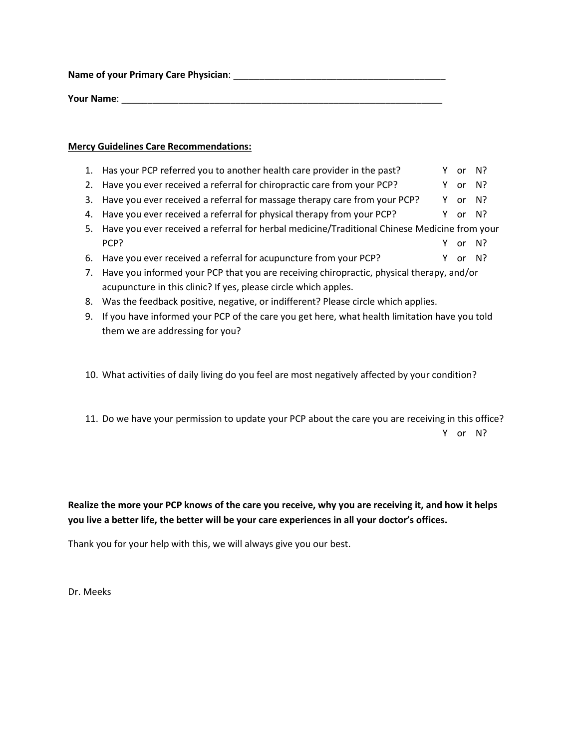**Name of your Primary Care Physician**: \_\_\_\_\_\_\_\_\_\_\_\_\_\_\_\_\_\_\_\_\_\_\_\_\_\_\_\_\_\_\_\_\_\_\_\_\_\_\_\_\_

**Your Name**: \_\_\_\_\_\_\_\_\_\_\_\_\_\_\_\_\_\_\_\_\_\_\_\_\_\_\_\_\_\_\_\_\_\_\_\_\_\_\_\_\_\_\_\_\_\_\_\_\_\_\_\_\_\_\_\_\_\_\_\_\_\_

## **Mercy Guidelines Care Recommendations:**

- 1. Has your PCP referred you to another health care provider in the past? Y or N?
- 2. Have you ever received a referral for chiropractic care from your PCP? Y or N?
- 3. Have you ever received a referral for massage therapy care from your PCP? Y or N?
- 4. Have you ever received a referral for physical therapy from your PCP?  $\gamma$  or N?
- 5. Have you ever received a referral for herbal medicine/Traditional Chinese Medicine from your PCP? The contract of the contract of the contract of the contract of the contract of the contract of the contract of the contract of the contract of the contract of the contract of the contract of the contract of the contr
- 6. Have you ever received a referral for acupuncture from your PCP?  $\gamma$  or N?
- 7. Have you informed your PCP that you are receiving chiropractic, physical therapy, and/or acupuncture in this clinic? If yes, please circle which apples.
- 8. Was the feedback positive, negative, or indifferent? Please circle which applies.
- 9. If you have informed your PCP of the care you get here, what health limitation have you told them we are addressing for you?
- 10. What activities of daily living do you feel are most negatively affected by your condition?
- 11. Do we have your permission to update your PCP about the care you are receiving in this office? Y or N?

**Realize the more your PCP knows of the care you receive, why you are receiving it, and how it helps you live a better life, the better will be your care experiences in all your doctor's offices.**

Thank you for your help with this, we will always give you our best.

Dr. Meeks